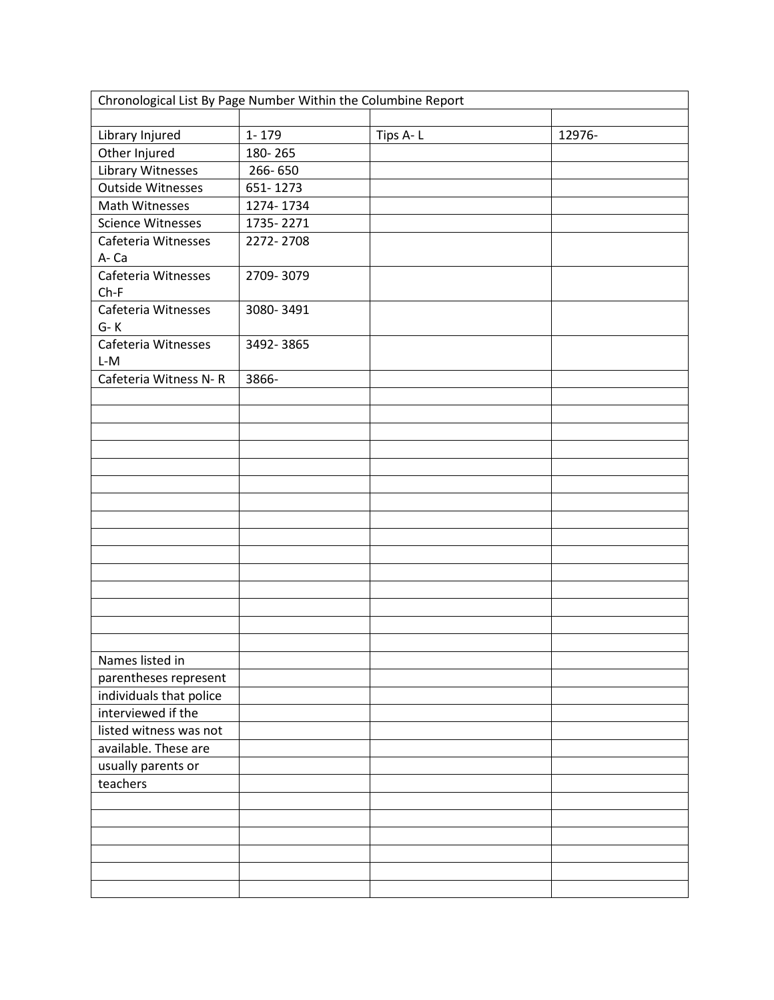| Chronological List By Page Number Within the Columbine Report |           |          |        |  |
|---------------------------------------------------------------|-----------|----------|--------|--|
| Library Injured                                               | 1-179     | Tips A-L | 12976- |  |
| Other Injured                                                 | 180-265   |          |        |  |
| Library Witnesses                                             | 266-650   |          |        |  |
| <b>Outside Witnesses</b>                                      | 651-1273  |          |        |  |
| Math Witnesses                                                | 1274-1734 |          |        |  |
| <b>Science Witnesses</b>                                      | 1735-2271 |          |        |  |
| Cafeteria Witnesses                                           | 2272-2708 |          |        |  |
| A-Ca                                                          |           |          |        |  |
| Cafeteria Witnesses                                           | 2709-3079 |          |        |  |
| $Ch-F$                                                        |           |          |        |  |
| Cafeteria Witnesses                                           | 3080-3491 |          |        |  |
| $G-K$                                                         |           |          |        |  |
| Cafeteria Witnesses                                           | 3492-3865 |          |        |  |
| $L-M$                                                         |           |          |        |  |
| Cafeteria Witness N-R                                         | 3866-     |          |        |  |
|                                                               |           |          |        |  |
|                                                               |           |          |        |  |
|                                                               |           |          |        |  |
|                                                               |           |          |        |  |
|                                                               |           |          |        |  |
|                                                               |           |          |        |  |
|                                                               |           |          |        |  |
|                                                               |           |          |        |  |
|                                                               |           |          |        |  |
|                                                               |           |          |        |  |
|                                                               |           |          |        |  |
|                                                               |           |          |        |  |
|                                                               |           |          |        |  |
|                                                               |           |          |        |  |
|                                                               |           |          |        |  |
| Names listed in                                               |           |          |        |  |
| parentheses represent                                         |           |          |        |  |
| individuals that police                                       |           |          |        |  |
| interviewed if the                                            |           |          |        |  |
| listed witness was not                                        |           |          |        |  |
| available. These are                                          |           |          |        |  |
| usually parents or                                            |           |          |        |  |
| teachers                                                      |           |          |        |  |
|                                                               |           |          |        |  |
|                                                               |           |          |        |  |
|                                                               |           |          |        |  |
|                                                               |           |          |        |  |
|                                                               |           |          |        |  |
|                                                               |           |          |        |  |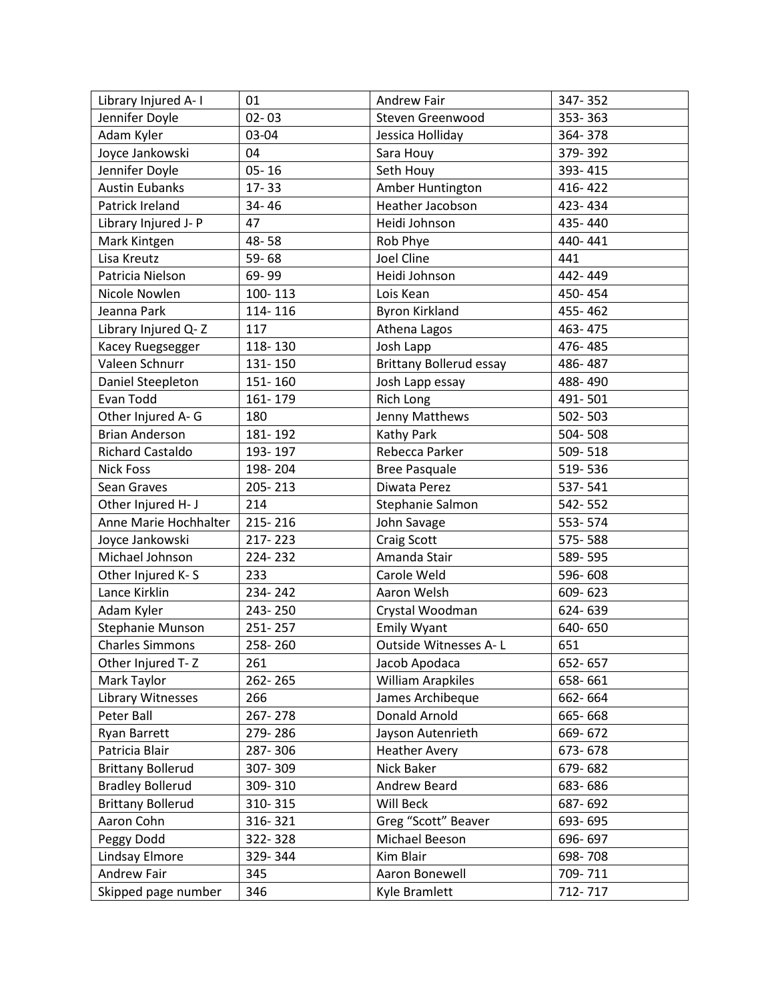| Library Injured A-1      | 01        | Andrew Fair                    | 347-352 |
|--------------------------|-----------|--------------------------------|---------|
| Jennifer Doyle           | $02 - 03$ | Steven Greenwood               | 353-363 |
| Adam Kyler               | 03-04     | Jessica Holliday               | 364-378 |
| Joyce Jankowski          | 04        | Sara Houy                      | 379-392 |
| Jennifer Doyle           | $05 - 16$ | Seth Houy                      | 393-415 |
| <b>Austin Eubanks</b>    | $17 - 33$ | Amber Huntington               | 416-422 |
| Patrick Ireland          | 34-46     | Heather Jacobson               | 423-434 |
| Library Injured J-P      | 47        | Heidi Johnson                  | 435-440 |
| Mark Kintgen             | 48-58     | Rob Phye                       | 440-441 |
| Lisa Kreutz              | $59 - 68$ | Joel Cline                     | 441     |
| Patricia Nielson         | 69-99     | Heidi Johnson                  | 442-449 |
| Nicole Nowlen            | 100-113   | Lois Kean                      | 450-454 |
| Jeanna Park              | 114-116   | <b>Byron Kirkland</b>          | 455-462 |
| Library Injured Q-Z      | 117       | Athena Lagos                   | 463-475 |
| Kacey Ruegsegger         | 118-130   | Josh Lapp                      | 476-485 |
| Valeen Schnurr           | 131-150   | <b>Brittany Bollerud essay</b> | 486-487 |
| Daniel Steepleton        | 151-160   | Josh Lapp essay                | 488-490 |
| Evan Todd                | 161-179   | <b>Rich Long</b>               | 491-501 |
| Other Injured A-G        | 180       | Jenny Matthews                 | 502-503 |
| <b>Brian Anderson</b>    | 181-192   | Kathy Park                     | 504-508 |
| Richard Castaldo         | 193-197   | Rebecca Parker                 | 509-518 |
| <b>Nick Foss</b>         | 198-204   | <b>Bree Pasquale</b>           | 519-536 |
| Sean Graves              | 205-213   | Diwata Perez                   | 537-541 |
| Other Injured H- J       | 214       | Stephanie Salmon               | 542-552 |
| Anne Marie Hochhalter    | 215-216   | John Savage                    | 553-574 |
| Joyce Jankowski          | 217-223   | Craig Scott                    | 575-588 |
| Michael Johnson          | 224-232   | Amanda Stair                   | 589-595 |
| Other Injured K-S        | 233       | Carole Weld                    | 596-608 |
| Lance Kirklin            | 234-242   | Aaron Welsh                    | 609-623 |
| Adam Kyler               | 243-250   | Crystal Woodman                | 624-639 |
| Stephanie Munson         | 251-257   | <b>Emily Wyant</b>             | 640-650 |
| <b>Charles Simmons</b>   | 258-260   | Outside Witnesses A-L          | 651     |
| Other Injured T-Z        | 261       | Jacob Apodaca                  | 652-657 |
| Mark Taylor              | 262-265   | <b>William Arapkiles</b>       | 658-661 |
| Library Witnesses        | 266       | James Archibeque               | 662-664 |
| Peter Ball               | 267-278   | Donald Arnold                  | 665-668 |
| Ryan Barrett             | 279-286   | Jayson Autenrieth              | 669-672 |
| Patricia Blair           | 287-306   | <b>Heather Avery</b>           | 673-678 |
| <b>Brittany Bollerud</b> | 307-309   | Nick Baker                     | 679-682 |
| <b>Bradley Bollerud</b>  | 309-310   | Andrew Beard                   | 683-686 |
| <b>Brittany Bollerud</b> | 310-315   | Will Beck                      | 687-692 |
| Aaron Cohn               | 316-321   | Greg "Scott" Beaver            | 693-695 |
| Peggy Dodd               | 322-328   | Michael Beeson                 | 696-697 |
| Lindsay Elmore           | 329-344   | Kim Blair                      | 698-708 |
| Andrew Fair              | 345       | Aaron Bonewell                 | 709-711 |
| Skipped page number      | 346       | Kyle Bramlett                  | 712-717 |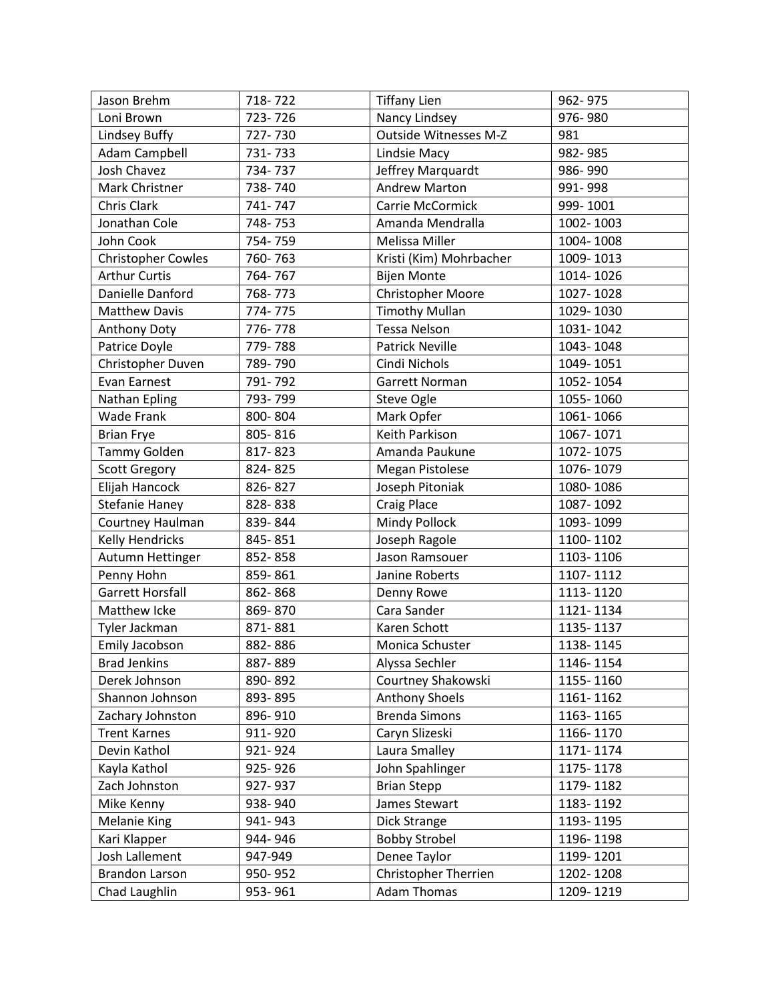| Jason Brehm               | 718-722 | <b>Tiffany Lien</b>         | 962-975   |
|---------------------------|---------|-----------------------------|-----------|
| Loni Brown                | 723-726 | Nancy Lindsey               | 976-980   |
| Lindsey Buffy             | 727-730 | Outside Witnesses M-Z       | 981       |
| Adam Campbell             | 731-733 | Lindsie Macy                | 982-985   |
| <b>Josh Chavez</b>        | 734-737 | Jeffrey Marquardt           | 986-990   |
| Mark Christner            | 738-740 | <b>Andrew Marton</b>        | 991-998   |
| Chris Clark               | 741-747 | <b>Carrie McCormick</b>     | 999-1001  |
| Jonathan Cole             | 748-753 | Amanda Mendralla            | 1002-1003 |
| John Cook                 | 754-759 | Melissa Miller              | 1004-1008 |
| <b>Christopher Cowles</b> | 760-763 | Kristi (Kim) Mohrbacher     | 1009-1013 |
| <b>Arthur Curtis</b>      | 764-767 | <b>Bijen Monte</b>          | 1014-1026 |
| Danielle Danford          | 768-773 | Christopher Moore           | 1027-1028 |
| <b>Matthew Davis</b>      | 774-775 | <b>Timothy Mullan</b>       | 1029-1030 |
| Anthony Doty              | 776-778 | <b>Tessa Nelson</b>         | 1031-1042 |
| Patrice Doyle             | 779-788 | <b>Patrick Neville</b>      | 1043-1048 |
| Christopher Duven         | 789-790 | Cindi Nichols               | 1049-1051 |
| Evan Earnest              | 791-792 | Garrett Norman              | 1052-1054 |
| Nathan Epling             | 793-799 | Steve Ogle                  | 1055-1060 |
| <b>Wade Frank</b>         | 800-804 | Mark Opfer                  | 1061-1066 |
| <b>Brian Frye</b>         | 805-816 | Keith Parkison              | 1067-1071 |
| Tammy Golden              | 817-823 | Amanda Paukune              | 1072-1075 |
| <b>Scott Gregory</b>      | 824-825 | <b>Megan Pistolese</b>      | 1076-1079 |
| Elijah Hancock            | 826-827 | Joseph Pitoniak             | 1080-1086 |
| <b>Stefanie Haney</b>     | 828-838 | <b>Craig Place</b>          | 1087-1092 |
| Courtney Haulman          | 839-844 | Mindy Pollock               | 1093-1099 |
| <b>Kelly Hendricks</b>    | 845-851 | Joseph Ragole               | 1100-1102 |
| Autumn Hettinger          | 852-858 | Jason Ramsouer              | 1103-1106 |
| Penny Hohn                | 859-861 | Janine Roberts              | 1107-1112 |
| <b>Garrett Horsfall</b>   | 862-868 | Denny Rowe                  | 1113-1120 |
| Matthew Icke              | 869-870 | Cara Sander                 | 1121-1134 |
| Tyler Jackman             | 871-881 | Karen Schott                | 1135-1137 |
| Emily Jacobson            | 882-886 | Monica Schuster             | 1138-1145 |
| <b>Brad Jenkins</b>       | 887-889 | Alyssa Sechler              | 1146-1154 |
| Derek Johnson             | 890-892 | Courtney Shakowski          | 1155-1160 |
| Shannon Johnson           | 893-895 | <b>Anthony Shoels</b>       | 1161-1162 |
| Zachary Johnston          | 896-910 | <b>Brenda Simons</b>        | 1163-1165 |
| <b>Trent Karnes</b>       | 911-920 | Caryn Slizeski              | 1166-1170 |
| Devin Kathol              | 921-924 | Laura Smalley               | 1171-1174 |
| Kayla Kathol              | 925-926 | John Spahlinger             | 1175-1178 |
| Zach Johnston             | 927-937 | <b>Brian Stepp</b>          | 1179-1182 |
| Mike Kenny                | 938-940 | James Stewart               | 1183-1192 |
| Melanie King              | 941-943 | Dick Strange                | 1193-1195 |
| Kari Klapper              | 944-946 | <b>Bobby Strobel</b>        | 1196-1198 |
| Josh Lallement            | 947-949 | Denee Taylor                | 1199-1201 |
| Brandon Larson            | 950-952 | <b>Christopher Therrien</b> | 1202-1208 |
| Chad Laughlin             | 953-961 | <b>Adam Thomas</b>          | 1209-1219 |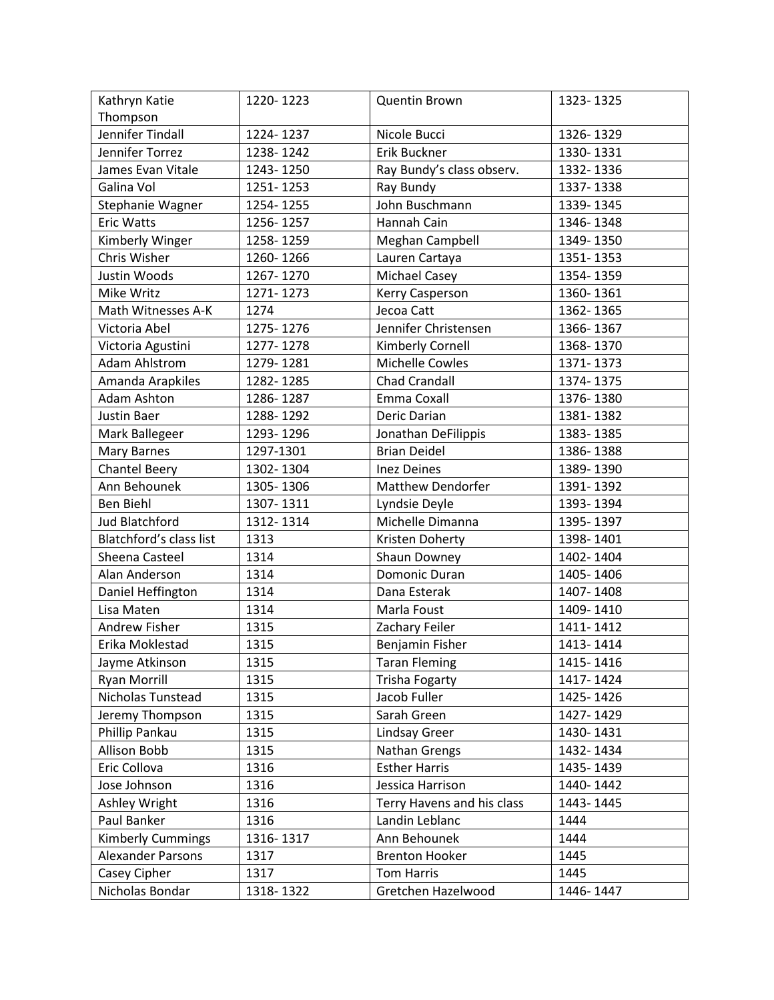| Kathryn Katie            | 1220-1223 | Quentin Brown              | 1323-1325 |
|--------------------------|-----------|----------------------------|-----------|
| Thompson                 |           |                            |           |
| Jennifer Tindall         | 1224-1237 | Nicole Bucci               | 1326-1329 |
| Jennifer Torrez          | 1238-1242 | Erik Buckner               | 1330-1331 |
| James Evan Vitale        | 1243-1250 | Ray Bundy's class observ.  | 1332-1336 |
| Galina Vol               | 1251-1253 | Ray Bundy                  | 1337-1338 |
| Stephanie Wagner         | 1254-1255 | John Buschmann             | 1339-1345 |
| <b>Eric Watts</b>        | 1256-1257 | Hannah Cain                | 1346-1348 |
| Kimberly Winger          | 1258-1259 | Meghan Campbell            | 1349-1350 |
| Chris Wisher             | 1260-1266 | Lauren Cartaya             | 1351-1353 |
| Justin Woods             | 1267-1270 | <b>Michael Casey</b>       | 1354-1359 |
| Mike Writz               | 1271-1273 | Kerry Casperson            | 1360-1361 |
| Math Witnesses A-K       | 1274      | Jecoa Catt                 | 1362-1365 |
| Victoria Abel            | 1275-1276 | Jennifer Christensen       | 1366-1367 |
| Victoria Agustini        | 1277-1278 | Kimberly Cornell           | 1368-1370 |
| <b>Adam Ahlstrom</b>     | 1279-1281 | <b>Michelle Cowles</b>     | 1371-1373 |
| Amanda Arapkiles         | 1282-1285 | <b>Chad Crandall</b>       | 1374-1375 |
| Adam Ashton              | 1286-1287 | Emma Coxall                | 1376-1380 |
| Justin Baer              | 1288-1292 | Deric Darian               | 1381-1382 |
| Mark Ballegeer           | 1293-1296 | Jonathan DeFilippis        | 1383-1385 |
| <b>Mary Barnes</b>       | 1297-1301 | <b>Brian Deidel</b>        | 1386-1388 |
| <b>Chantel Beery</b>     | 1302-1304 | <b>Inez Deines</b>         | 1389-1390 |
| Ann Behounek             | 1305-1306 | <b>Matthew Dendorfer</b>   | 1391-1392 |
| <b>Ben Biehl</b>         | 1307-1311 | Lyndsie Deyle              | 1393-1394 |
| <b>Jud Blatchford</b>    | 1312-1314 | Michelle Dimanna           | 1395-1397 |
| Blatchford's class list  | 1313      | Kristen Doherty            | 1398-1401 |
| Sheena Casteel           | 1314      | Shaun Downey               | 1402-1404 |
| Alan Anderson            | 1314      | Domonic Duran              | 1405-1406 |
| Daniel Heffington        | 1314      | Dana Esterak               | 1407-1408 |
| Lisa Maten               | 1314      | Marla Foust                | 1409-1410 |
| <b>Andrew Fisher</b>     | 1315      | Zachary Feiler             | 1411-1412 |
| Erika Moklestad          | 1315      | <b>Benjamin Fisher</b>     | 1413-1414 |
| Jayme Atkinson           | 1315      | <b>Taran Fleming</b>       | 1415-1416 |
| <b>Ryan Morrill</b>      | 1315      | <b>Trisha Fogarty</b>      | 1417-1424 |
| Nicholas Tunstead        | 1315      | Jacob Fuller               | 1425-1426 |
| Jeremy Thompson          | 1315      | Sarah Green                | 1427-1429 |
| Phillip Pankau           | 1315      | Lindsay Greer              | 1430-1431 |
| Allison Bobb             | 1315      | Nathan Grengs              | 1432-1434 |
| Eric Collova             | 1316      | <b>Esther Harris</b>       | 1435-1439 |
| Jose Johnson             | 1316      | Jessica Harrison           | 1440-1442 |
| Ashley Wright            | 1316      | Terry Havens and his class | 1443-1445 |
| Paul Banker              | 1316      | Landin Leblanc             | 1444      |
| <b>Kimberly Cummings</b> | 1316-1317 | Ann Behounek               | 1444      |
| <b>Alexander Parsons</b> | 1317      | <b>Brenton Hooker</b>      | 1445      |
| Casey Cipher             | 1317      | <b>Tom Harris</b>          | 1445      |
| Nicholas Bondar          | 1318-1322 | Gretchen Hazelwood         | 1446-1447 |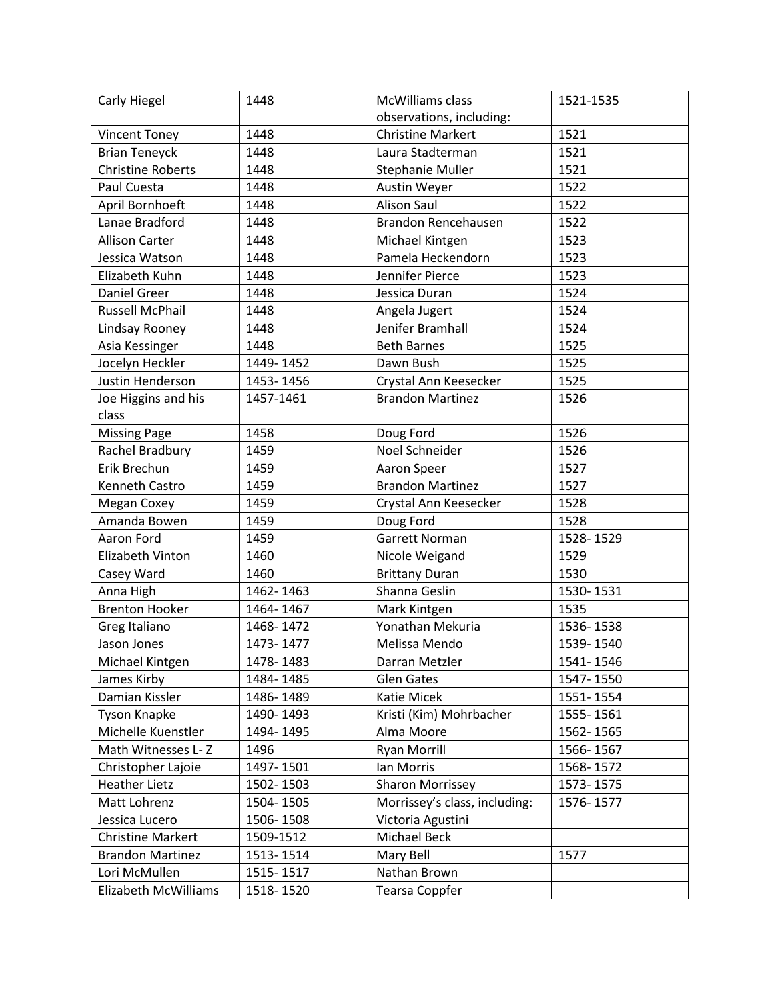| Carly Hiegel             | 1448      | McWilliams class              | 1521-1535 |
|--------------------------|-----------|-------------------------------|-----------|
|                          |           | observations, including:      |           |
| <b>Vincent Toney</b>     | 1448      | <b>Christine Markert</b>      | 1521      |
| <b>Brian Teneyck</b>     | 1448      | Laura Stadterman              | 1521      |
| <b>Christine Roberts</b> | 1448      | Stephanie Muller              | 1521      |
| Paul Cuesta              | 1448      | Austin Weyer                  | 1522      |
| April Bornhoeft          | 1448      | <b>Alison Saul</b>            | 1522      |
| Lanae Bradford           | 1448      | Brandon Rencehausen           | 1522      |
| <b>Allison Carter</b>    | 1448      | Michael Kintgen               | 1523      |
| Jessica Watson           | 1448      | Pamela Heckendorn             | 1523      |
| Elizabeth Kuhn           | 1448      | Jennifer Pierce               | 1523      |
| <b>Daniel Greer</b>      | 1448      | Jessica Duran                 | 1524      |
| <b>Russell McPhail</b>   | 1448      | Angela Jugert                 | 1524      |
| Lindsay Rooney           | 1448      | Jenifer Bramhall              | 1524      |
| Asia Kessinger           | 1448      | <b>Beth Barnes</b>            | 1525      |
| Jocelyn Heckler          | 1449-1452 | Dawn Bush                     | 1525      |
| Justin Henderson         | 1453-1456 | Crystal Ann Keesecker         | 1525      |
| Joe Higgins and his      | 1457-1461 | <b>Brandon Martinez</b>       | 1526      |
| class                    |           |                               |           |
| <b>Missing Page</b>      | 1458      | Doug Ford                     | 1526      |
| Rachel Bradbury          | 1459      | Noel Schneider                | 1526      |
| Erik Brechun             | 1459      | Aaron Speer                   | 1527      |
| Kenneth Castro           | 1459      | <b>Brandon Martinez</b>       | 1527      |
| Megan Coxey              | 1459      | Crystal Ann Keesecker         | 1528      |
| Amanda Bowen             | 1459      | Doug Ford                     | 1528      |
| Aaron Ford               | 1459      | Garrett Norman                | 1528-1529 |
| Elizabeth Vinton         | 1460      | Nicole Weigand                | 1529      |
| Casey Ward               | 1460      | <b>Brittany Duran</b>         | 1530      |
| Anna High                | 1462-1463 | Shanna Geslin                 | 1530-1531 |
| <b>Brenton Hooker</b>    | 1464-1467 | Mark Kintgen                  | 1535      |
| Greg Italiano            | 1468-1472 | Yonathan Mekuria              | 1536-1538 |
| Jason Jones              | 1473-1477 | Melissa Mendo                 | 1539-1540 |
| Michael Kintgen          | 1478-1483 | Darran Metzler                | 1541-1546 |
| James Kirby              | 1484-1485 | <b>Glen Gates</b>             | 1547-1550 |
| Damian Kissler           | 1486-1489 | Katie Micek                   | 1551-1554 |
| <b>Tyson Knapke</b>      | 1490-1493 | Kristi (Kim) Mohrbacher       | 1555-1561 |
| Michelle Kuenstler       | 1494-1495 | Alma Moore                    | 1562-1565 |
| Math Witnesses L-Z       | 1496      | <b>Ryan Morrill</b>           | 1566-1567 |
| Christopher Lajoie       | 1497-1501 | Ian Morris                    | 1568-1572 |
| <b>Heather Lietz</b>     | 1502-1503 | <b>Sharon Morrissey</b>       | 1573-1575 |
| Matt Lohrenz             | 1504-1505 | Morrissey's class, including: | 1576-1577 |
| Jessica Lucero           | 1506-1508 | Victoria Agustini             |           |
| <b>Christine Markert</b> | 1509-1512 | <b>Michael Beck</b>           |           |
| <b>Brandon Martinez</b>  | 1513-1514 | Mary Bell                     | 1577      |
| Lori McMullen            | 1515-1517 | Nathan Brown                  |           |
| Elizabeth McWilliams     | 1518-1520 | Tearsa Coppfer                |           |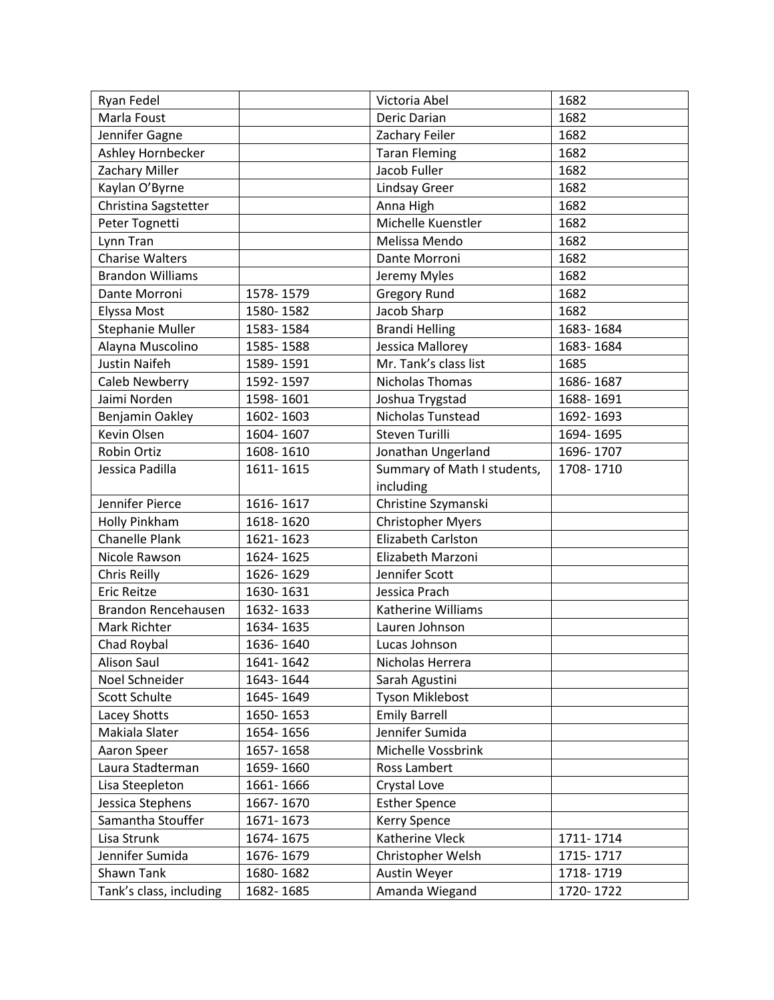| Ryan Fedel              |           | Victoria Abel               | 1682      |
|-------------------------|-----------|-----------------------------|-----------|
| Marla Foust             |           | Deric Darian                | 1682      |
| Jennifer Gagne          |           | Zachary Feiler              | 1682      |
| Ashley Hornbecker       |           | <b>Taran Fleming</b>        | 1682      |
| Zachary Miller          |           | Jacob Fuller                | 1682      |
| Kaylan O'Byrne          |           | <b>Lindsay Greer</b>        | 1682      |
| Christina Sagstetter    |           | Anna High                   | 1682      |
| Peter Tognetti          |           | Michelle Kuenstler          | 1682      |
| Lynn Tran               |           | Melissa Mendo               | 1682      |
| <b>Charise Walters</b>  |           | Dante Morroni               | 1682      |
| <b>Brandon Williams</b> |           | Jeremy Myles                | 1682      |
| Dante Morroni           | 1578-1579 | <b>Gregory Rund</b>         | 1682      |
| Elyssa Most             | 1580-1582 | Jacob Sharp                 | 1682      |
| Stephanie Muller        | 1583-1584 | <b>Brandi Helling</b>       | 1683-1684 |
| Alayna Muscolino        | 1585-1588 | Jessica Mallorey            | 1683-1684 |
| <b>Justin Naifeh</b>    | 1589-1591 | Mr. Tank's class list       | 1685      |
| Caleb Newberry          | 1592-1597 | <b>Nicholas Thomas</b>      | 1686-1687 |
| Jaimi Norden            | 1598-1601 | Joshua Trygstad             | 1688-1691 |
| Benjamin Oakley         | 1602-1603 | Nicholas Tunstead           | 1692-1693 |
| Kevin Olsen             | 1604-1607 | <b>Steven Turilli</b>       | 1694-1695 |
| Robin Ortiz             | 1608-1610 | Jonathan Ungerland          | 1696-1707 |
| Jessica Padilla         | 1611-1615 | Summary of Math I students, | 1708-1710 |
|                         |           | including                   |           |
| Jennifer Pierce         | 1616-1617 | Christine Szymanski         |           |
| Holly Pinkham           | 1618-1620 | <b>Christopher Myers</b>    |           |
| <b>Chanelle Plank</b>   | 1621-1623 | Elizabeth Carlston          |           |
| Nicole Rawson           | 1624-1625 | Elizabeth Marzoni           |           |
| Chris Reilly            | 1626-1629 | Jennifer Scott              |           |
| <b>Eric Reitze</b>      | 1630-1631 | Jessica Prach               |           |
| Brandon Rencehausen     | 1632-1633 | Katherine Williams          |           |
| Mark Richter            | 1634-1635 | Lauren Johnson              |           |
| Chad Roybal             | 1636-1640 | Lucas Johnson               |           |
| Alison Saul             | 1641-1642 | Nicholas Herrera            |           |
| Noel Schneider          | 1643-1644 | Sarah Agustini              |           |
| Scott Schulte           | 1645-1649 | Tyson Miklebost             |           |
| Lacey Shotts            | 1650-1653 | <b>Emily Barrell</b>        |           |
| Makiala Slater          | 1654-1656 | Jennifer Sumida             |           |
| Aaron Speer             | 1657-1658 | Michelle Vossbrink          |           |
| Laura Stadterman        | 1659-1660 | Ross Lambert                |           |
| Lisa Steepleton         | 1661-1666 | Crystal Love                |           |
| Jessica Stephens        | 1667-1670 | <b>Esther Spence</b>        |           |
| Samantha Stouffer       | 1671-1673 | Kerry Spence                |           |
| Lisa Strunk             | 1674-1675 | Katherine Vleck             | 1711-1714 |
| Jennifer Sumida         | 1676-1679 | Christopher Welsh           | 1715-1717 |
| Shawn Tank              | 1680-1682 | Austin Weyer                | 1718-1719 |
| Tank's class, including | 1682-1685 | Amanda Wiegand              | 1720-1722 |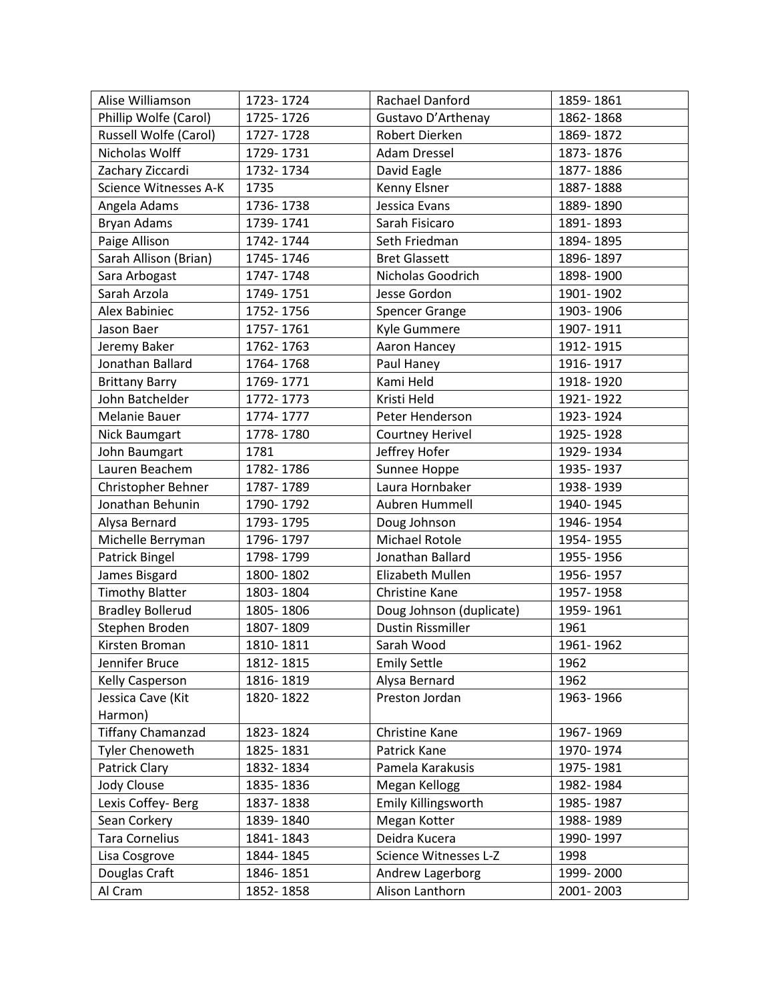| Alise Williamson         | 1723-1724 | Rachael Danford          | 1859-1861 |
|--------------------------|-----------|--------------------------|-----------|
| Phillip Wolfe (Carol)    | 1725-1726 | Gustavo D'Arthenay       | 1862-1868 |
| Russell Wolfe (Carol)    | 1727-1728 | Robert Dierken           | 1869-1872 |
| Nicholas Wolff           | 1729-1731 | <b>Adam Dressel</b>      | 1873-1876 |
| Zachary Ziccardi         | 1732-1734 | David Eagle              | 1877-1886 |
| Science Witnesses A-K    | 1735      | Kenny Elsner             | 1887-1888 |
| Angela Adams             | 1736-1738 | Jessica Evans            | 1889-1890 |
| Bryan Adams              | 1739-1741 | Sarah Fisicaro           | 1891-1893 |
| Paige Allison            | 1742-1744 | Seth Friedman            | 1894-1895 |
| Sarah Allison (Brian)    | 1745-1746 | <b>Bret Glassett</b>     | 1896-1897 |
| Sara Arbogast            | 1747-1748 | Nicholas Goodrich        | 1898-1900 |
| Sarah Arzola             | 1749-1751 | Jesse Gordon             | 1901-1902 |
| Alex Babiniec            | 1752-1756 | <b>Spencer Grange</b>    | 1903-1906 |
| Jason Baer               | 1757-1761 | Kyle Gummere             | 1907-1911 |
| Jeremy Baker             | 1762-1763 | Aaron Hancey             | 1912-1915 |
| Jonathan Ballard         | 1764-1768 | Paul Haney               | 1916-1917 |
| <b>Brittany Barry</b>    | 1769-1771 | Kami Held                | 1918-1920 |
| John Batchelder          | 1772-1773 | Kristi Held              | 1921-1922 |
| Melanie Bauer            | 1774-1777 | Peter Henderson          | 1923-1924 |
| Nick Baumgart            | 1778-1780 | <b>Courtney Herivel</b>  | 1925-1928 |
| John Baumgart            | 1781      | Jeffrey Hofer            | 1929-1934 |
| Lauren Beachem           | 1782-1786 | Sunnee Hoppe             | 1935-1937 |
| Christopher Behner       | 1787-1789 | Laura Hornbaker          | 1938-1939 |
| Jonathan Behunin         | 1790-1792 | Aubren Hummell           | 1940-1945 |
| Alysa Bernard            | 1793-1795 | Doug Johnson             | 1946-1954 |
| Michelle Berryman        | 1796-1797 | <b>Michael Rotole</b>    | 1954-1955 |
| Patrick Bingel           | 1798-1799 | Jonathan Ballard         | 1955-1956 |
| James Bisgard            | 1800-1802 | Elizabeth Mullen         | 1956-1957 |
| <b>Timothy Blatter</b>   | 1803-1804 | Christine Kane           | 1957-1958 |
| <b>Bradley Bollerud</b>  | 1805-1806 | Doug Johnson (duplicate) | 1959-1961 |
| Stephen Broden           | 1807-1809 | <b>Dustin Rissmiller</b> | 1961      |
| Kirsten Broman           | 1810-1811 | Sarah Wood               | 1961-1962 |
| Jennifer Bruce           | 1812-1815 | <b>Emily Settle</b>      | 1962      |
| Kelly Casperson          | 1816-1819 | Alysa Bernard            | 1962      |
| Jessica Cave (Kit        | 1820-1822 | Preston Jordan           | 1963-1966 |
| Harmon)                  |           |                          |           |
| <b>Tiffany Chamanzad</b> | 1823-1824 | Christine Kane           | 1967-1969 |
| <b>Tyler Chenoweth</b>   | 1825-1831 | Patrick Kane             | 1970-1974 |
| Patrick Clary            | 1832-1834 | Pamela Karakusis         | 1975-1981 |
| Jody Clouse              | 1835-1836 | Megan Kellogg            | 1982-1984 |
| Lexis Coffey-Berg        | 1837-1838 | Emily Killingsworth      | 1985-1987 |
| Sean Corkery             | 1839-1840 | Megan Kotter             | 1988-1989 |
| <b>Tara Cornelius</b>    | 1841-1843 | Deidra Kucera            | 1990-1997 |
| Lisa Cosgrove            | 1844-1845 | Science Witnesses L-Z    | 1998      |
| Douglas Craft            | 1846-1851 | Andrew Lagerborg         | 1999-2000 |
| Al Cram                  | 1852-1858 | Alison Lanthorn          | 2001-2003 |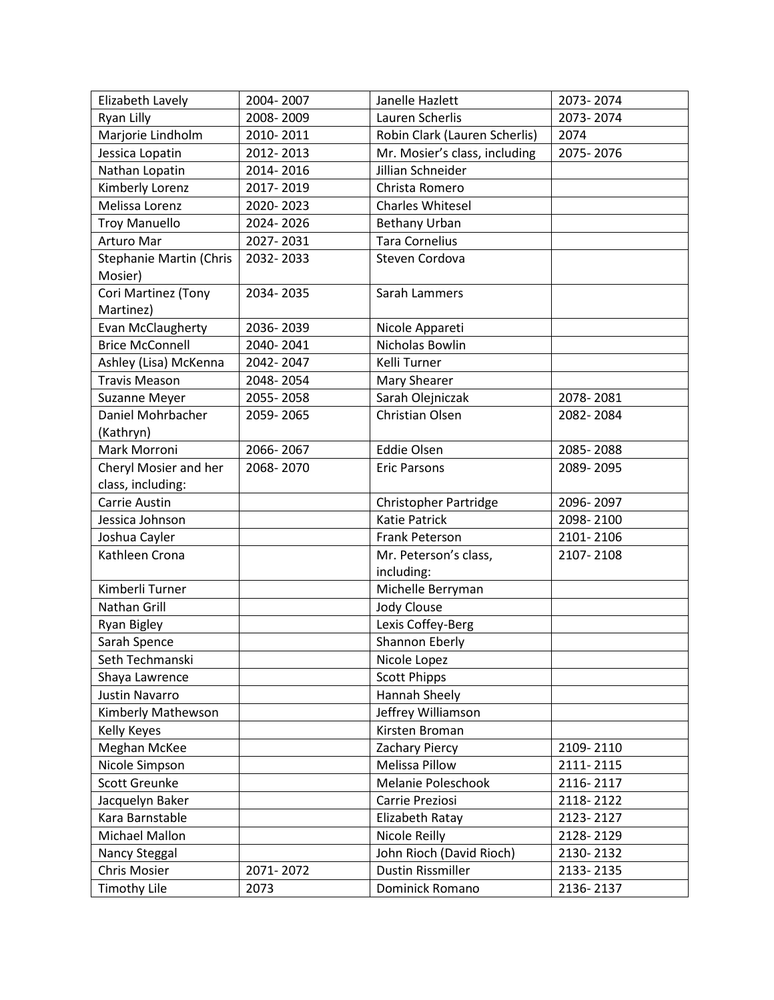| Elizabeth Lavely        | 2004-2007 | Janelle Hazlett               | 2073-2074 |
|-------------------------|-----------|-------------------------------|-----------|
| Ryan Lilly              | 2008-2009 | Lauren Scherlis               | 2073-2074 |
| Marjorie Lindholm       | 2010-2011 | Robin Clark (Lauren Scherlis) | 2074      |
| Jessica Lopatin         | 2012-2013 | Mr. Mosier's class, including | 2075-2076 |
| Nathan Lopatin          | 2014-2016 | Jillian Schneider             |           |
| Kimberly Lorenz         | 2017-2019 | Christa Romero                |           |
| Melissa Lorenz          | 2020-2023 | <b>Charles Whitesel</b>       |           |
| <b>Troy Manuello</b>    | 2024-2026 | Bethany Urban                 |           |
| Arturo Mar              | 2027-2031 | <b>Tara Cornelius</b>         |           |
| Stephanie Martin (Chris | 2032-2033 | Steven Cordova                |           |
| Mosier)                 |           |                               |           |
| Cori Martinez (Tony     | 2034-2035 | Sarah Lammers                 |           |
| Martinez)               |           |                               |           |
| Evan McClaugherty       | 2036-2039 | Nicole Appareti               |           |
| <b>Brice McConnell</b>  | 2040-2041 | Nicholas Bowlin               |           |
| Ashley (Lisa) McKenna   | 2042-2047 | Kelli Turner                  |           |
| <b>Travis Meason</b>    | 2048-2054 | Mary Shearer                  |           |
| <b>Suzanne Meyer</b>    | 2055-2058 | Sarah Olejniczak              | 2078-2081 |
| Daniel Mohrbacher       | 2059-2065 | <b>Christian Olsen</b>        | 2082-2084 |
| (Kathryn)               |           |                               |           |
| Mark Morroni            | 2066-2067 | <b>Eddie Olsen</b>            | 2085-2088 |
| Cheryl Mosier and her   | 2068-2070 | <b>Eric Parsons</b>           | 2089-2095 |
| class, including:       |           |                               |           |
| Carrie Austin           |           | <b>Christopher Partridge</b>  | 2096-2097 |
| Jessica Johnson         |           | <b>Katie Patrick</b>          | 2098-2100 |
| Joshua Cayler           |           | Frank Peterson                | 2101-2106 |
| Kathleen Crona          |           | Mr. Peterson's class,         | 2107-2108 |
|                         |           | including:                    |           |
| Kimberli Turner         |           | Michelle Berryman             |           |
| Nathan Grill            |           | <b>Jody Clouse</b>            |           |
| Ryan Bigley             |           | Lexis Coffey-Berg             |           |
| Sarah Spence            |           | Shannon Eberly                |           |
| Seth Techmanski         |           | Nicole Lopez                  |           |
| Shaya Lawrence          |           | <b>Scott Phipps</b>           |           |
| Justin Navarro          |           | Hannah Sheely                 |           |
| Kimberly Mathewson      |           | Jeffrey Williamson            |           |
| Kelly Keyes             |           | Kirsten Broman                |           |
| Meghan McKee            |           | Zachary Piercy                | 2109-2110 |
| Nicole Simpson          |           | <b>Melissa Pillow</b>         | 2111-2115 |
| Scott Greunke           |           | Melanie Poleschook            | 2116-2117 |
| Jacquelyn Baker         |           | Carrie Preziosi               | 2118-2122 |
| Kara Barnstable         |           | Elizabeth Ratay               | 2123-2127 |
| Michael Mallon          |           | Nicole Reilly                 | 2128-2129 |
| Nancy Steggal           |           | John Rioch (David Rioch)      | 2130-2132 |
| <b>Chris Mosier</b>     | 2071-2072 | Dustin Rissmiller             | 2133-2135 |
| <b>Timothy Lile</b>     | 2073      | Dominick Romano               | 2136-2137 |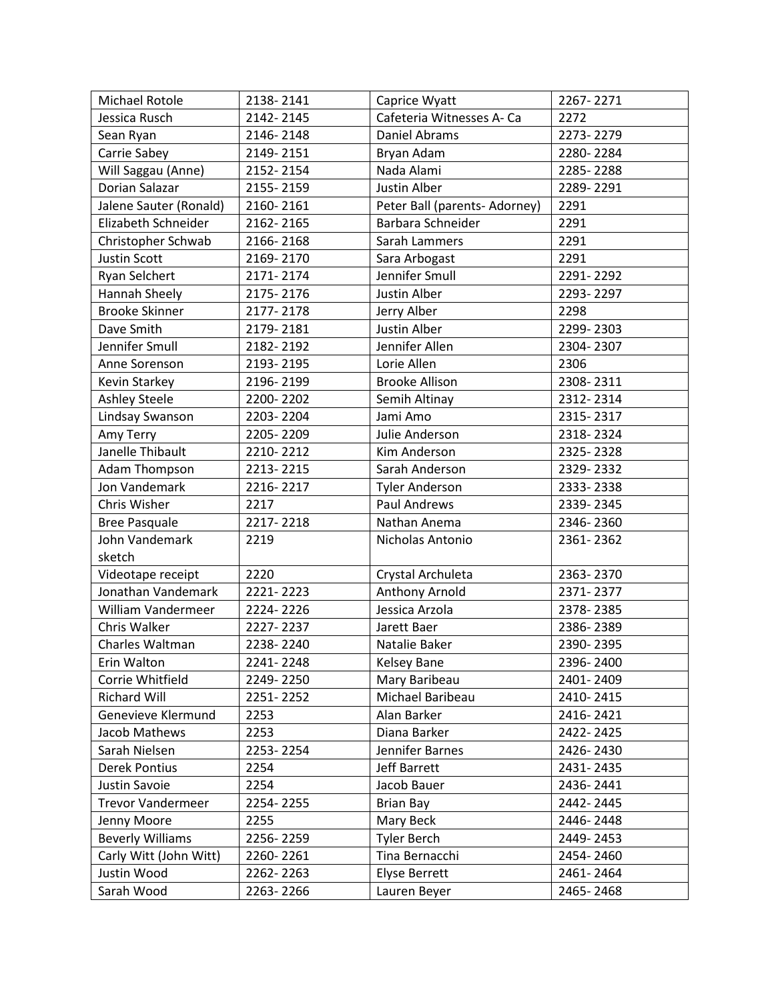| Michael Rotole           | 2138-2141 | Caprice Wyatt                 | 2267-2271 |
|--------------------------|-----------|-------------------------------|-----------|
| Jessica Rusch            | 2142-2145 | Cafeteria Witnesses A- Ca     | 2272      |
| Sean Ryan                | 2146-2148 | Daniel Abrams                 | 2273-2279 |
| Carrie Sabey             | 2149-2151 | Bryan Adam                    | 2280-2284 |
| Will Saggau (Anne)       | 2152-2154 | Nada Alami                    | 2285-2288 |
| Dorian Salazar           | 2155-2159 | Justin Alber                  | 2289-2291 |
| Jalene Sauter (Ronald)   | 2160-2161 | Peter Ball (parents- Adorney) | 2291      |
| Elizabeth Schneider      | 2162-2165 | Barbara Schneider             | 2291      |
| Christopher Schwab       | 2166-2168 | Sarah Lammers                 | 2291      |
| <b>Justin Scott</b>      | 2169-2170 | Sara Arbogast                 | 2291      |
| Ryan Selchert            | 2171-2174 | Jennifer Smull                | 2291-2292 |
| Hannah Sheely            | 2175-2176 | Justin Alber                  | 2293-2297 |
| <b>Brooke Skinner</b>    | 2177-2178 | Jerry Alber                   | 2298      |
| Dave Smith               | 2179-2181 | Justin Alber                  | 2299-2303 |
| Jennifer Smull           | 2182-2192 | Jennifer Allen                | 2304-2307 |
| Anne Sorenson            | 2193-2195 | Lorie Allen                   | 2306      |
| Kevin Starkey            | 2196-2199 | <b>Brooke Allison</b>         | 2308-2311 |
| <b>Ashley Steele</b>     | 2200-2202 | Semih Altinay                 | 2312-2314 |
| Lindsay Swanson          | 2203-2204 | Jami Amo                      | 2315-2317 |
| Amy Terry                | 2205-2209 | Julie Anderson                | 2318-2324 |
| Janelle Thibault         | 2210-2212 | Kim Anderson                  | 2325-2328 |
| Adam Thompson            | 2213-2215 | Sarah Anderson                | 2329-2332 |
| Jon Vandemark            | 2216-2217 | <b>Tyler Anderson</b>         | 2333-2338 |
| Chris Wisher             | 2217      | Paul Andrews                  | 2339-2345 |
| <b>Bree Pasquale</b>     | 2217-2218 | Nathan Anema                  | 2346-2360 |
| John Vandemark           | 2219      | Nicholas Antonio              | 2361-2362 |
| sketch                   |           |                               |           |
| Videotape receipt        | 2220      | Crystal Archuleta             | 2363-2370 |
| Jonathan Vandemark       | 2221-2223 | Anthony Arnold                | 2371-2377 |
| William Vandermeer       | 2224-2226 | Jessica Arzola                | 2378-2385 |
| Chris Walker             | 2227-2237 | Jarett Baer                   | 2386-2389 |
| Charles Waltman          | 2238-2240 | Natalie Baker                 | 2390-2395 |
| Erin Walton              | 2241-2248 | Kelsey Bane                   | 2396-2400 |
| Corrie Whitfield         | 2249-2250 | Mary Baribeau                 | 2401-2409 |
| <b>Richard Will</b>      | 2251-2252 | Michael Baribeau              | 2410-2415 |
| Genevieve Klermund       | 2253      | Alan Barker                   | 2416-2421 |
| Jacob Mathews            | 2253      | Diana Barker                  | 2422-2425 |
| Sarah Nielsen            | 2253-2254 | Jennifer Barnes               | 2426-2430 |
| Derek Pontius            | 2254      | Jeff Barrett                  | 2431-2435 |
| Justin Savoie            | 2254      | Jacob Bauer                   | 2436-2441 |
| <b>Trevor Vandermeer</b> | 2254-2255 | <b>Brian Bay</b>              | 2442-2445 |
| Jenny Moore              | 2255      | Mary Beck                     | 2446-2448 |
| <b>Beverly Williams</b>  | 2256-2259 | <b>Tyler Berch</b>            | 2449-2453 |
| Carly Witt (John Witt)   | 2260-2261 | Tina Bernacchi                | 2454-2460 |
| Justin Wood              | 2262-2263 | <b>Elyse Berrett</b>          | 2461-2464 |
| Sarah Wood               | 2263-2266 | Lauren Beyer                  | 2465-2468 |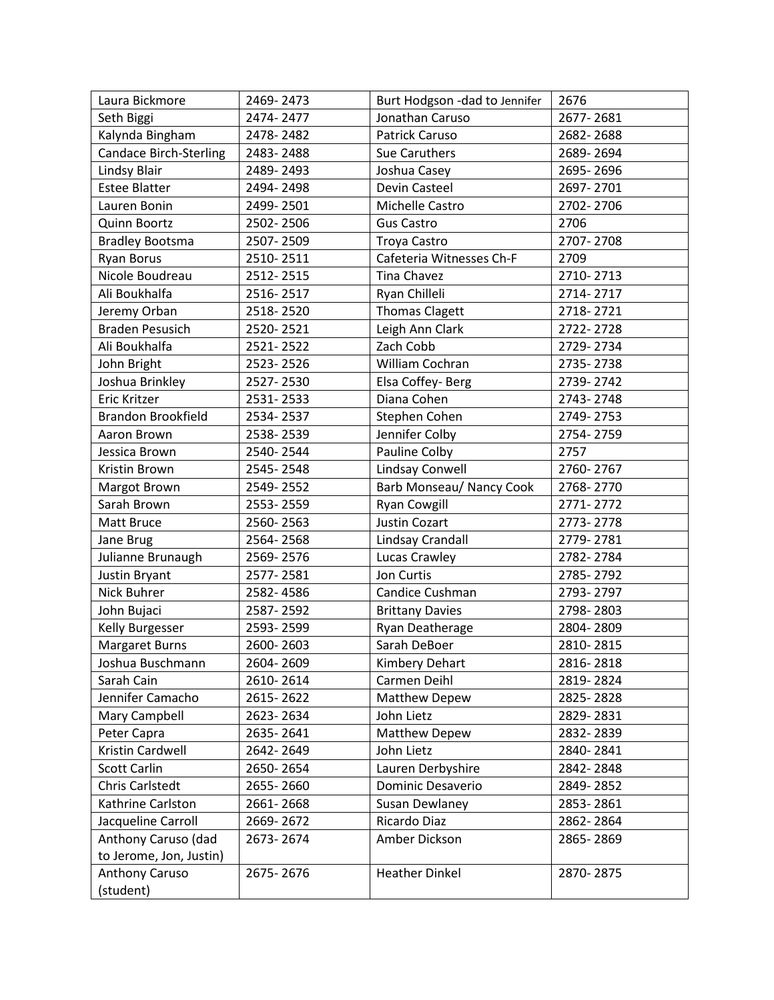| Laura Bickmore                | 2469-2473 | Burt Hodgson - dad to Jennifer | 2676      |
|-------------------------------|-----------|--------------------------------|-----------|
| Seth Biggi                    | 2474-2477 | Jonathan Caruso                | 2677-2681 |
| Kalynda Bingham               | 2478-2482 | Patrick Caruso                 | 2682-2688 |
| <b>Candace Birch-Sterling</b> | 2483-2488 | Sue Caruthers                  | 2689-2694 |
| <b>Lindsy Blair</b>           | 2489-2493 | Joshua Casey                   | 2695-2696 |
| <b>Estee Blatter</b>          | 2494-2498 | Devin Casteel                  | 2697-2701 |
| Lauren Bonin                  | 2499-2501 | Michelle Castro                | 2702-2706 |
| Quinn Boortz                  | 2502-2506 | <b>Gus Castro</b>              | 2706      |
| <b>Bradley Bootsma</b>        | 2507-2509 | Troya Castro                   | 2707-2708 |
| <b>Ryan Borus</b>             | 2510-2511 | Cafeteria Witnesses Ch-F       | 2709      |
| Nicole Boudreau               | 2512-2515 | Tina Chavez                    | 2710-2713 |
| Ali Boukhalfa                 | 2516-2517 | Ryan Chilleli                  | 2714-2717 |
| Jeremy Orban                  | 2518-2520 | <b>Thomas Clagett</b>          | 2718-2721 |
| <b>Braden Pesusich</b>        | 2520-2521 | Leigh Ann Clark                | 2722-2728 |
| Ali Boukhalfa                 | 2521-2522 | Zach Cobb                      | 2729-2734 |
| John Bright                   | 2523-2526 | William Cochran                | 2735-2738 |
| Joshua Brinkley               | 2527-2530 | Elsa Coffey-Berg               | 2739-2742 |
| Eric Kritzer                  | 2531-2533 | Diana Cohen                    | 2743-2748 |
| <b>Brandon Brookfield</b>     | 2534-2537 | Stephen Cohen                  | 2749-2753 |
| Aaron Brown                   | 2538-2539 | Jennifer Colby                 | 2754-2759 |
| Jessica Brown                 | 2540-2544 | Pauline Colby                  | 2757      |
| Kristin Brown                 | 2545-2548 | <b>Lindsay Conwell</b>         | 2760-2767 |
| Margot Brown                  | 2549-2552 | Barb Monseau/ Nancy Cook       | 2768-2770 |
| Sarah Brown                   | 2553-2559 | <b>Ryan Cowgill</b>            | 2771-2772 |
| Matt Bruce                    | 2560-2563 | <b>Justin Cozart</b>           | 2773-2778 |
| Jane Brug                     | 2564-2568 | Lindsay Crandall               | 2779-2781 |
| Julianne Brunaugh             | 2569-2576 | Lucas Crawley                  | 2782-2784 |
| Justin Bryant                 | 2577-2581 | Jon Curtis                     | 2785-2792 |
| Nick Buhrer                   | 2582-4586 | Candice Cushman                | 2793-2797 |
| John Bujaci                   | 2587-2592 | <b>Brittany Davies</b>         | 2798-2803 |
| Kelly Burgesser               | 2593-2599 | Ryan Deatherage                | 2804-2809 |
| Margaret Burns                | 2600-2603 | Sarah DeBoer                   | 2810-2815 |
| Joshua Buschmann              | 2604-2609 | Kimbery Dehart                 | 2816-2818 |
| Sarah Cain                    | 2610-2614 | Carmen Deihl                   | 2819-2824 |
| Jennifer Camacho              | 2615-2622 | Matthew Depew                  | 2825-2828 |
| Mary Campbell                 | 2623-2634 | John Lietz                     | 2829-2831 |
| Peter Capra                   | 2635-2641 | <b>Matthew Depew</b>           | 2832-2839 |
| Kristin Cardwell              | 2642-2649 | John Lietz                     | 2840-2841 |
| <b>Scott Carlin</b>           | 2650-2654 | Lauren Derbyshire              | 2842-2848 |
| Chris Carlstedt               | 2655-2660 | Dominic Desaverio              | 2849-2852 |
| Kathrine Carlston             | 2661-2668 | Susan Dewlaney                 | 2853-2861 |
| Jacqueline Carroll            | 2669-2672 | Ricardo Diaz                   | 2862-2864 |
| Anthony Caruso (dad           | 2673-2674 | Amber Dickson                  | 2865-2869 |
| to Jerome, Jon, Justin)       |           |                                |           |
| Anthony Caruso                | 2675-2676 | <b>Heather Dinkel</b>          | 2870-2875 |
| (student)                     |           |                                |           |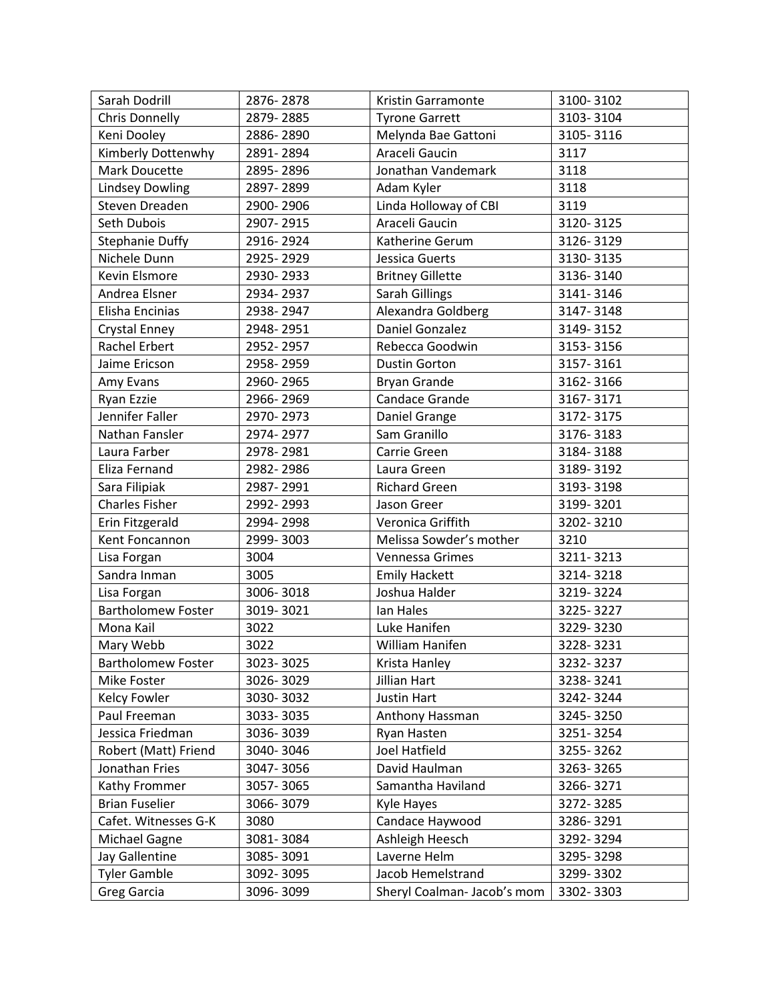| Sarah Dodrill             | 2876-2878 | Kristin Garramonte          | 3100-3102 |
|---------------------------|-----------|-----------------------------|-----------|
| Chris Donnelly            | 2879-2885 | <b>Tyrone Garrett</b>       | 3103-3104 |
| Keni Dooley               | 2886-2890 | Melynda Bae Gattoni         | 3105-3116 |
| Kimberly Dottenwhy        | 2891-2894 | Araceli Gaucin              | 3117      |
| Mark Doucette             | 2895-2896 | Jonathan Vandemark          | 3118      |
| <b>Lindsey Dowling</b>    | 2897-2899 | Adam Kyler                  | 3118      |
| Steven Dreaden            | 2900-2906 | Linda Holloway of CBI       | 3119      |
| Seth Dubois               | 2907-2915 | Araceli Gaucin              | 3120-3125 |
| <b>Stephanie Duffy</b>    | 2916-2924 | Katherine Gerum             | 3126-3129 |
| Nichele Dunn              | 2925-2929 | Jessica Guerts              | 3130-3135 |
| Kevin Elsmore             | 2930-2933 | <b>Britney Gillette</b>     | 3136-3140 |
| Andrea Elsner             | 2934-2937 | Sarah Gillings              | 3141-3146 |
| Elisha Encinias           | 2938-2947 | Alexandra Goldberg          | 3147-3148 |
| Crystal Enney             | 2948-2951 | Daniel Gonzalez             | 3149-3152 |
| Rachel Erbert             | 2952-2957 | Rebecca Goodwin             | 3153-3156 |
| Jaime Ericson             | 2958-2959 | <b>Dustin Gorton</b>        | 3157-3161 |
| Amy Evans                 | 2960-2965 | <b>Bryan Grande</b>         | 3162-3166 |
| Ryan Ezzie                | 2966-2969 | Candace Grande              | 3167-3171 |
| Jennifer Faller           | 2970-2973 | Daniel Grange               | 3172-3175 |
| Nathan Fansler            | 2974-2977 | Sam Granillo                | 3176-3183 |
| Laura Farber              | 2978-2981 | Carrie Green                | 3184-3188 |
| Eliza Fernand             | 2982-2986 | Laura Green                 | 3189-3192 |
| Sara Filipiak             | 2987-2991 | <b>Richard Green</b>        | 3193-3198 |
| <b>Charles Fisher</b>     | 2992-2993 | Jason Greer                 | 3199-3201 |
| Erin Fitzgerald           | 2994-2998 | Veronica Griffith           | 3202-3210 |
| Kent Foncannon            | 2999-3003 | Melissa Sowder's mother     | 3210      |
| Lisa Forgan               | 3004      | Vennessa Grimes             | 3211-3213 |
| Sandra Inman              | 3005      | <b>Emily Hackett</b>        | 3214-3218 |
| Lisa Forgan               | 3006-3018 | Joshua Halder               | 3219-3224 |
| <b>Bartholomew Foster</b> | 3019-3021 | Ian Hales                   | 3225-3227 |
| Mona Kail                 | 3022      | Luke Hanifen                | 3229-3230 |
| Mary Webb                 | 3022      | William Hanifen             | 3228-3231 |
| <b>Bartholomew Foster</b> | 3023-3025 | Krista Hanley               | 3232-3237 |
| Mike Foster               | 3026-3029 | Jillian Hart                | 3238-3241 |
| Kelcy Fowler              | 3030-3032 | Justin Hart                 | 3242-3244 |
| Paul Freeman              | 3033-3035 | Anthony Hassman             | 3245-3250 |
| Jessica Friedman          | 3036-3039 | Ryan Hasten                 | 3251-3254 |
| Robert (Matt) Friend      | 3040-3046 | Joel Hatfield               | 3255-3262 |
| Jonathan Fries            | 3047-3056 | David Haulman               | 3263-3265 |
| Kathy Frommer             | 3057-3065 | Samantha Haviland           | 3266-3271 |
| <b>Brian Fuselier</b>     | 3066-3079 | Kyle Hayes                  | 3272-3285 |
| Cafet. Witnesses G-K      | 3080      | Candace Haywood             | 3286-3291 |
| Michael Gagne             | 3081-3084 | Ashleigh Heesch             | 3292-3294 |
| Jay Gallentine            | 3085-3091 | Laverne Helm                | 3295-3298 |
| <b>Tyler Gamble</b>       | 3092-3095 | Jacob Hemelstrand           | 3299-3302 |
| Greg Garcia               | 3096-3099 | Sheryl Coalman- Jacob's mom | 3302-3303 |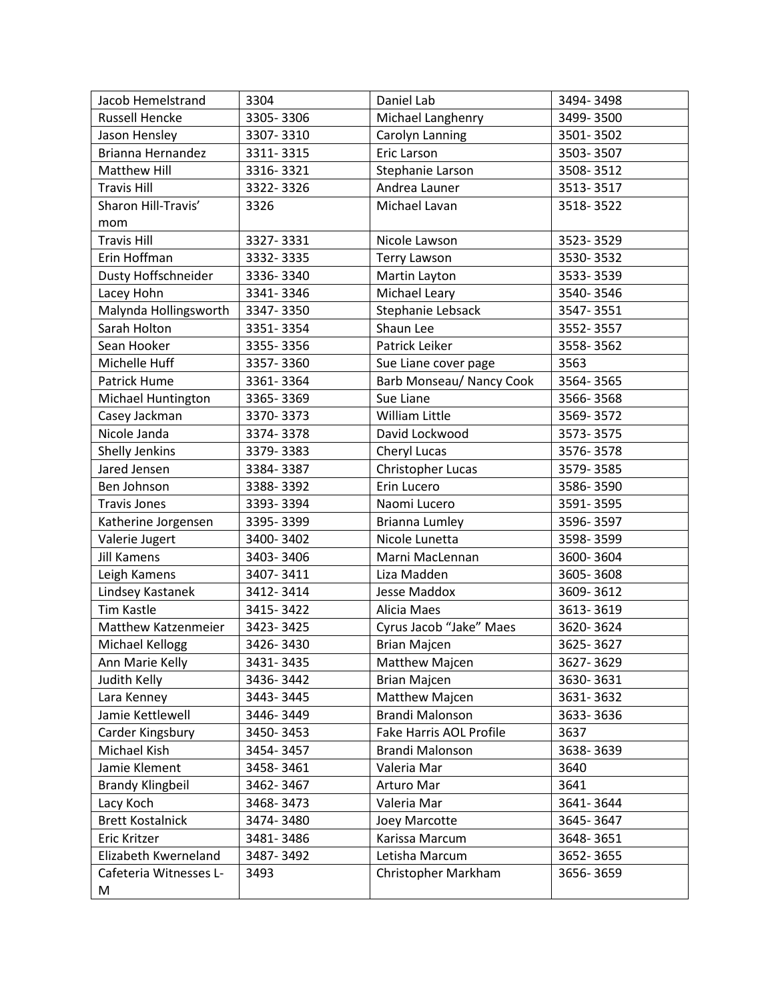| Jacob Hemelstrand       | 3304      | Daniel Lab               | 3494-3498 |
|-------------------------|-----------|--------------------------|-----------|
| <b>Russell Hencke</b>   | 3305-3306 | Michael Langhenry        | 3499-3500 |
| Jason Hensley           | 3307-3310 | Carolyn Lanning          | 3501-3502 |
| Brianna Hernandez       | 3311-3315 | Eric Larson              | 3503-3507 |
| Matthew Hill            | 3316-3321 | Stephanie Larson         | 3508-3512 |
| <b>Travis Hill</b>      | 3322-3326 | Andrea Launer            | 3513-3517 |
| Sharon Hill-Travis'     | 3326      | Michael Lavan            | 3518-3522 |
| mom                     |           |                          |           |
| <b>Travis Hill</b>      | 3327-3331 | Nicole Lawson            | 3523-3529 |
| Erin Hoffman            | 3332-3335 | <b>Terry Lawson</b>      | 3530-3532 |
| Dusty Hoffschneider     | 3336-3340 | Martin Layton            | 3533-3539 |
| Lacey Hohn              | 3341-3346 | Michael Leary            | 3540-3546 |
| Malynda Hollingsworth   | 3347-3350 | Stephanie Lebsack        | 3547-3551 |
| Sarah Holton            | 3351-3354 | Shaun Lee                | 3552-3557 |
| Sean Hooker             | 3355-3356 | Patrick Leiker           | 3558-3562 |
| Michelle Huff           | 3357-3360 | Sue Liane cover page     | 3563      |
| Patrick Hume            | 3361-3364 | Barb Monseau/ Nancy Cook | 3564-3565 |
| Michael Huntington      | 3365-3369 | Sue Liane                | 3566-3568 |
| Casey Jackman           | 3370-3373 | <b>William Little</b>    | 3569-3572 |
| Nicole Janda            | 3374-3378 | David Lockwood           | 3573-3575 |
| Shelly Jenkins          | 3379-3383 | Cheryl Lucas             | 3576-3578 |
| Jared Jensen            | 3384-3387 | Christopher Lucas        | 3579-3585 |
| Ben Johnson             | 3388-3392 | Erin Lucero              | 3586-3590 |
| <b>Travis Jones</b>     | 3393-3394 | Naomi Lucero             | 3591-3595 |
| Katherine Jorgensen     | 3395-3399 | Brianna Lumley           | 3596-3597 |
| Valerie Jugert          | 3400-3402 | Nicole Lunetta           | 3598-3599 |
| <b>Jill Kamens</b>      | 3403-3406 | Marni MacLennan          | 3600-3604 |
| Leigh Kamens            | 3407-3411 | Liza Madden              | 3605-3608 |
| Lindsey Kastanek        | 3412-3414 | Jesse Maddox             | 3609-3612 |
| Tim Kastle              | 3415-3422 | Alicia Maes              | 3613-3619 |
| Matthew Katzenmeier     | 3423-3425 | Cyrus Jacob "Jake" Maes  | 3620-3624 |
| Michael Kellogg         | 3426-3430 | <b>Brian Majcen</b>      | 3625-3627 |
| Ann Marie Kelly         | 3431-3435 | Matthew Majcen           | 3627-3629 |
| Judith Kelly            | 3436-3442 | <b>Brian Majcen</b>      | 3630-3631 |
| Lara Kenney             | 3443-3445 | Matthew Majcen           | 3631-3632 |
| Jamie Kettlewell        | 3446-3449 | Brandi Malonson          | 3633-3636 |
| Carder Kingsbury        | 3450-3453 | Fake Harris AOL Profile  | 3637      |
| Michael Kish            | 3454-3457 | Brandi Malonson          | 3638-3639 |
| Jamie Klement           | 3458-3461 | Valeria Mar              | 3640      |
| <b>Brandy Klingbeil</b> | 3462-3467 | Arturo Mar               | 3641      |
| Lacy Koch               | 3468-3473 | Valeria Mar              | 3641-3644 |
| <b>Brett Kostalnick</b> | 3474-3480 | Joey Marcotte            | 3645-3647 |
| Eric Kritzer            | 3481-3486 | Karissa Marcum           | 3648-3651 |
| Elizabeth Kwerneland    | 3487-3492 | Letisha Marcum           | 3652-3655 |
| Cafeteria Witnesses L-  | 3493      | Christopher Markham      | 3656-3659 |
| M                       |           |                          |           |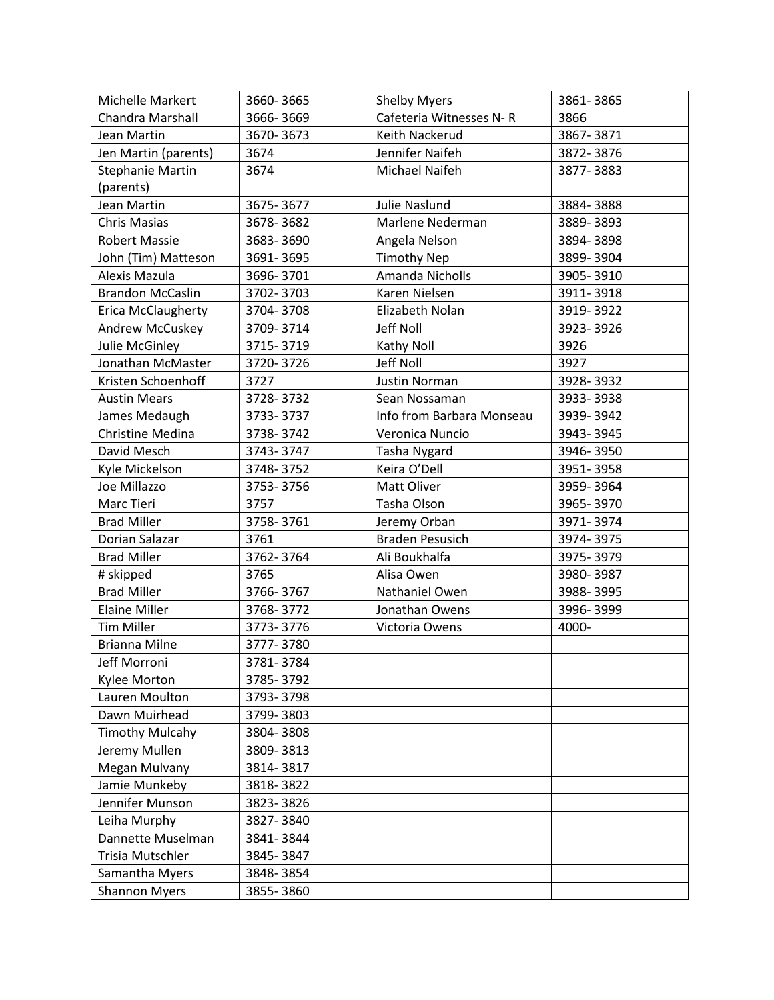| Michelle Markert          | 3660-3665 | <b>Shelby Myers</b>       | 3861-3865 |
|---------------------------|-----------|---------------------------|-----------|
| Chandra Marshall          | 3666-3669 | Cafeteria Witnesses N-R   | 3866      |
| Jean Martin               | 3670-3673 | Keith Nackerud            | 3867-3871 |
| Jen Martin (parents)      | 3674      | Jennifer Naifeh           | 3872-3876 |
| <b>Stephanie Martin</b>   | 3674      | Michael Naifeh            | 3877-3883 |
| (parents)                 |           |                           |           |
| Jean Martin               | 3675-3677 | Julie Naslund             | 3884-3888 |
| <b>Chris Masias</b>       | 3678-3682 | Marlene Nederman          | 3889-3893 |
| <b>Robert Massie</b>      | 3683-3690 | Angela Nelson             | 3894-3898 |
| John (Tim) Matteson       | 3691-3695 | <b>Timothy Nep</b>        | 3899-3904 |
| Alexis Mazula             | 3696-3701 | Amanda Nicholls           | 3905-3910 |
| <b>Brandon McCaslin</b>   | 3702-3703 | Karen Nielsen             | 3911-3918 |
| <b>Erica McClaugherty</b> | 3704-3708 | Elizabeth Nolan           | 3919-3922 |
| Andrew McCuskey           | 3709-3714 | Jeff Noll                 | 3923-3926 |
| Julie McGinley            | 3715-3719 | Kathy Noll                | 3926      |
| Jonathan McMaster         | 3720-3726 | Jeff Noll                 | 3927      |
| Kristen Schoenhoff        | 3727      | Justin Norman             | 3928-3932 |
| <b>Austin Mears</b>       | 3728-3732 | Sean Nossaman             | 3933-3938 |
| James Medaugh             | 3733-3737 | Info from Barbara Monseau | 3939-3942 |
| <b>Christine Medina</b>   | 3738-3742 | Veronica Nuncio           | 3943-3945 |
| David Mesch               | 3743-3747 | Tasha Nygard              | 3946-3950 |
| Kyle Mickelson            | 3748-3752 | Keira O'Dell              | 3951-3958 |
| Joe Millazzo              | 3753-3756 | Matt Oliver               | 3959-3964 |
| Marc Tieri                | 3757      | Tasha Olson               | 3965-3970 |
| <b>Brad Miller</b>        | 3758-3761 | Jeremy Orban              | 3971-3974 |
| Dorian Salazar            | 3761      | <b>Braden Pesusich</b>    | 3974-3975 |
| <b>Brad Miller</b>        | 3762-3764 | Ali Boukhalfa             | 3975-3979 |
| # skipped                 | 3765      | Alisa Owen                | 3980-3987 |
| <b>Brad Miller</b>        | 3766-3767 | Nathaniel Owen            | 3988-3995 |
| <b>Elaine Miller</b>      | 3768-3772 | Jonathan Owens            | 3996-3999 |
| <b>Tim Miller</b>         | 3773-3776 | Victoria Owens            | 4000-     |
| <b>Brianna Milne</b>      | 3777-3780 |                           |           |
| Jeff Morroni              | 3781-3784 |                           |           |
| Kylee Morton              | 3785-3792 |                           |           |
| Lauren Moulton            | 3793-3798 |                           |           |
| Dawn Muirhead             | 3799-3803 |                           |           |
| <b>Timothy Mulcahy</b>    | 3804-3808 |                           |           |
| Jeremy Mullen             | 3809-3813 |                           |           |
| Megan Mulvany             | 3814-3817 |                           |           |
| Jamie Munkeby             | 3818-3822 |                           |           |
| Jennifer Munson           | 3823-3826 |                           |           |
| Leiha Murphy              | 3827-3840 |                           |           |
| Dannette Muselman         | 3841-3844 |                           |           |
| Trisia Mutschler          | 3845-3847 |                           |           |
| Samantha Myers            | 3848-3854 |                           |           |
| <b>Shannon Myers</b>      | 3855-3860 |                           |           |